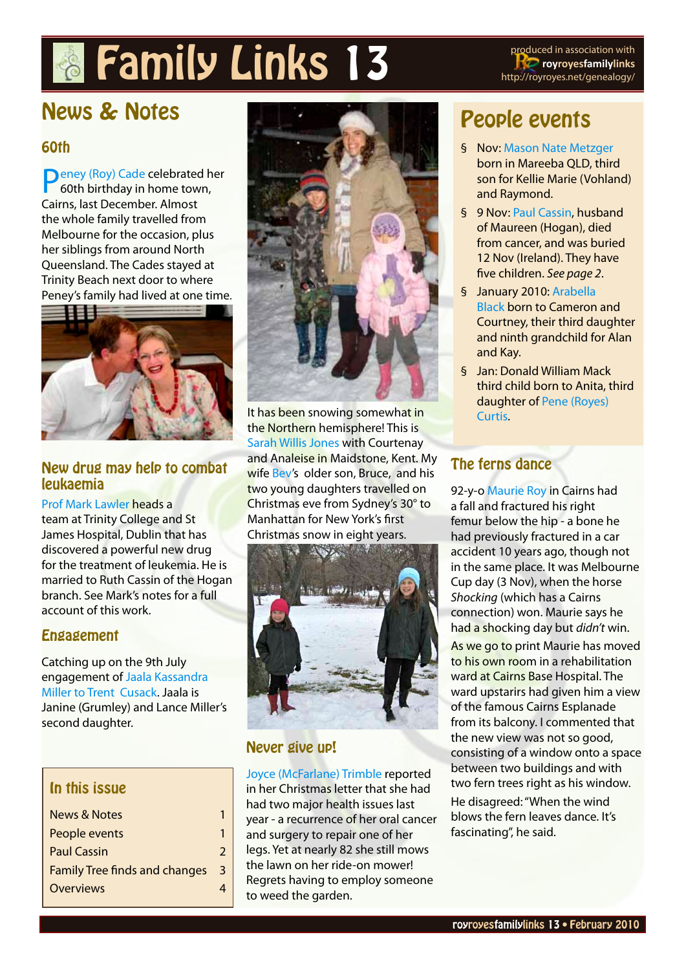# **Family Links 13** produced in association with



# News & Notes

#### 60th

[Peney \(Roy\) Cade](http://royroyes.net/genealogy/getperson.php?personID=I845&tree=rr_tree) celebrated her 60th birthday in home town, Cairns, last December. Almost the whole family travelled from Melbourne for the occasion, plus her siblings from around North Queensland. The Cades stayed at Trinity Beach next door to where Peney's family had lived at one time.



#### New drug may help to combat leukaemia

[Prof Mark Lawler](http://royroyes.net/genealogy/getperson.php?personID=I1271&tree=rr_tree) heads a team at Trinity College and St James Hospital, Dublin that has discovered a powerful new drug for the treatment of leukemia. He is married to Ruth Cassin of the Hogan branch. See Mark's notes for a full account of this work.

#### Engagement

Catching up on the 9th July engagement of [Jaala Kassandra](http://royroyes.net/genealogy/getperson.php?personID=I676&tree=rr_tree)  [Miller to Trent Cusack](http://royroyes.net/genealogy/getperson.php?personID=I676&tree=rr_tree). Jaala is Janine (Grumley) and Lance Miller's second daughter.

#### In this issue

| <b>News &amp; Notes</b>              |   |
|--------------------------------------|---|
| People events                        |   |
| <b>Paul Cassin</b>                   | 7 |
| <b>Family Tree finds and changes</b> | 3 |
| Overviews                            |   |
|                                      |   |



It has been snowing somewhat in the Northern hemisphere! This is [Sarah Willis Jones](http://royroyes.net/genealogy/getperson.php?personID=I1347&tree=rr_tree) with Courtenay and Analeise in Maidstone, Kent. My wife Bey's older son, Bruce, and his two young daughters travelled on Christmas eve from Sydney's 30° to Manhattan for New York's first Christmas snow in eight years.



#### Never give up!

[Joyce \(McFarlane\) Trimble](http://royroyes.net/genealogy/getperson.php?personID=I662&tree=rr_tree) reported in her Christmas letter that she had had two major health issues last year - a recurrence of her oral cancer and surgery to repair one of her legs. Yet at nearly 82 she still mows the lawn on her ride-on mower! Regrets having to employ someone to weed the garden.

# People events

- § Nov: [Mason Nate Metzger](http://royroyes.net/genealogy/getperson.php?personID=I5966&tree=rr_tree) born in Mareeba QLD, third son for Kellie Marie (Vohland) and Raymond.
- § 9 Nov: [Paul Cassin](http://royroyes.net/genealogy/getperson.php?personID=I141&tree=rr_tree), husband of Maureen (Hogan), died from cancer, and was buried 12 Nov (Ireland). They have five children. *See page 2*.
- § January 2010: [Arabella](http://royroyes.net/genealogy/getperson.php?personID=I541&tree=rr_tree)  [Black](http://royroyes.net/genealogy/getperson.php?personID=I541&tree=rr_tree) born to Cameron and Courtney, their third daughter and ninth grandchild for Alan and Kay.
- § Jan: Donald William Mack third child born to Anita, third daughter of [Pene \(Royes\)](http://royroyes.net/genealogy/getperson.php?personID=I2796&tree=rr_tree)  [Curtis.](http://royroyes.net/genealogy/getperson.php?personID=I2796&tree=rr_tree)

#### The ferns dance

92-y-o [Maurie Roy](http://royroyes.net/genealogy/getperson.php?personID=I832&tree=rr_tree) in Cairns had a fall and fractured his right femur below the hip - a bone he had previously fractured in a car accident 10 years ago, though not in the same place. It was Melbourne Cup day (3 Nov), when the horse *Shocking* (which has a Cairns connection) won. Maurie says he had a shocking day but *didn't* win. As we go to print Maurie has moved to his own room in a rehabilitation ward at Cairns Base Hospital. The ward upstarirs had given him a view of the famous Cairns Esplanade from its balcony. I commented that the new view was not so good, consisting of a window onto a space between two buildings and with two fern trees right as his window. He disagreed: "When the wind blows the fern leaves dance. It's fascinating", he said.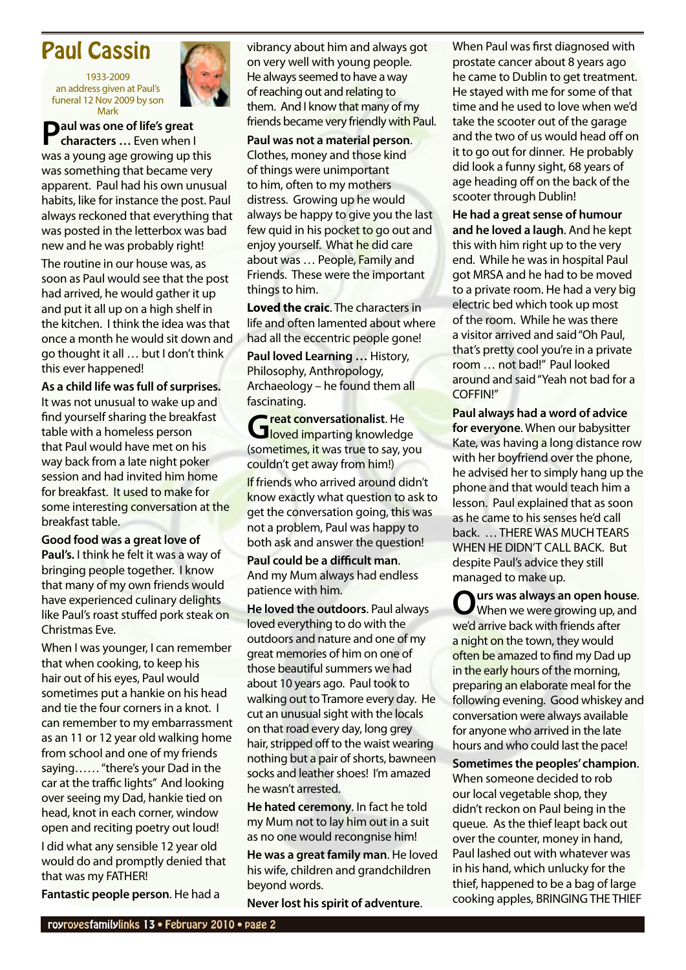### <span id="page-1-0"></span>Paul Cassin

1933-2009 an address given at Paul's funeral 12 Nov 2009 by son Mark



**Paul was one of life's great characters …** Even when I was a young age growing up this was something that became very apparent. Paul had his own unusual habits, like for instance the post. Paul always reckoned that everything that was posted in the letterbox was bad new and he was probably right!

The routine in our house was, as soon as Paul would see that the post had arrived, he would gather it up and put it all up on a high shelf in the kitchen. I think the idea was that once a month he would sit down and go thought it all … but I don't think this ever happened!

**As a child life was full of surprises.** It was not unusual to wake up and find yourself sharing the breakfast table with a homeless person that Paul would have met on his way back from a late night poker session and had invited him home for breakfast. It used to make for some interesting conversation at the breakfast table.

**Good food was a great love of Paul's.** I think he felt it was a way of bringing people together. I know that many of my own friends would have experienced culinary delights like Paul's roast stuffed pork steak on Christmas Eve.

When I was younger, I can remember that when cooking, to keep his hair out of his eyes, Paul would sometimes put a hankie on his head and tie the four corners in a knot. I can remember to my embarrassment as an 11 or 12 year old walking home from school and one of my friends saying…… "there's your Dad in the car at the traffic lights" And looking over seeing my Dad, hankie tied on head, knot in each corner, window open and reciting poetry out loud!

I did what any sensible 12 year old would do and promptly denied that that was my FATHER!

**Fantastic people person**. He had a

vibrancy about him and always got on very well with young people. He always seemed to have a way of reaching out and relating to them. And I know that many of my friends became very friendly with Paul.

**Paul was not a material person**. Clothes, money and those kind of things were unimportant to him, often to my mothers distress. Growing up he would always be happy to give you the last few quid in his pocket to go out and enjoy yourself. What he did care about was … People, Family and Friends. These were the important things to him.

**Loved the craic**. The characters in life and often lamented about where had all the eccentric people gone!

**Paul loved Learning …** History, Philosophy, Anthropology, Archaeology – he found them all fascinating.

**Great conversationalist**. He loved imparting knowledge (sometimes, it was true to say, you couldn't get away from him!) If friends who arrived around didn't know exactly what question to ask to get the conversation going, this was not a problem, Paul was happy to both ask and answer the question!

**Paul could be a difficult man**. And my Mum always had endless patience with him.

**He loved the outdoors**. Paul always loved everything to do with the outdoors and nature and one of my great memories of him on one of those beautiful summers we had about 10 years ago. Paul took to walking out to Tramore every day. He cut an unusual sight with the locals on that road every day, long grey hair, stripped off to the waist wearing nothing but a pair of shorts, bawneen socks and leather shoes! I'm amazed he wasn't arrested.

**He hated ceremony**. In fact he told my Mum not to lay him out in a suit as no one would recongnise him!

**He was a great family man**. He loved his wife, children and grandchildren beyond words.

**Never lost his spirit of adventure**.

When Paul was first diagnosed with prostate cancer about 8 years ago he came to Dublin to get treatment. He stayed with me for some of that time and he used to love when we'd take the scooter out of the garage and the two of us would head off on it to go out for dinner. He probably did look a funny sight, 68 years of age heading off on the back of the scooter through Dublin!

**He had a great sense of humour and he loved a laugh**. And he kept this with him right up to the very end. While he was in hospital Paul got MRSA and he had to be moved to a private room. He had a very big electric bed which took up most of the room. While he was there a visitor arrived and said "Oh Paul, that's pretty cool you're in a private room … not bad!" Paul looked around and said "Yeah not bad for a COFFIN!"

**Paul always had a word of advice for everyone**. When our babysitter Kate, was having a long distance row with her boyfriend over the phone, he advised her to simply hang up the phone and that would teach him a lesson. Paul explained that as soon as he came to his senses he'd call back. … THERE WAS MUCH TEARS WHEN HE DIDN'T CALL BACK. But despite Paul's advice they still managed to make up.

**Ours was always an open house**. When we were growing up, and we'd arrive back with friends after a night on the town, they would often be amazed to find my Dad up in the early hours of the morning, preparing an elaborate meal for the following evening. Good whiskey and conversation were always available for anyone who arrived in the late hours and who could last the pace!

**Sometimes the peoples' champion**. When someone decided to rob our local vegetable shop, they didn't reckon on Paul being in the queue. As the thief leapt back out over the counter, money in hand, Paul lashed out with whatever was in his hand, which unlucky for the thief, happened to be a bag of large cooking apples, BRINGING THE THIEF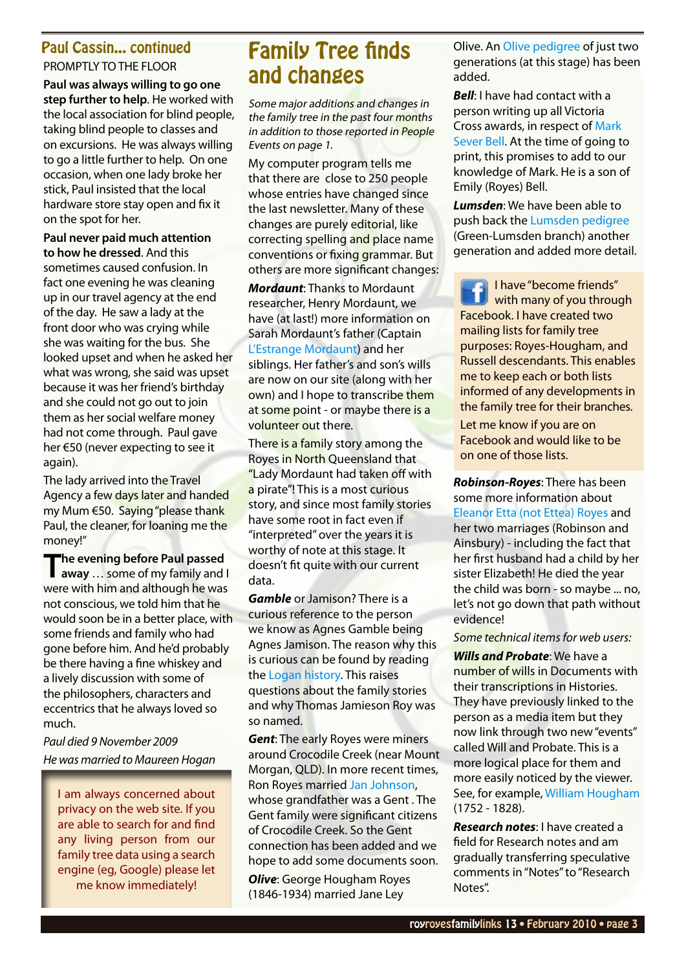# PROMPTLY TO THE FLOOR

**Paul was always willing to go one step further to help**. He worked with the local association for blind people, taking blind people to classes and on excursions. He was always willing to go a little further to help. On one occasion, when one lady broke her stick, Paul insisted that the local hardware store stay open and fix it on the spot for her.

**Paul never paid much attention to how he dressed**. And this sometimes caused confusion. In fact one evening he was cleaning up in our travel agency at the end of the day. He saw a lady at the front door who was crying while she was waiting for the bus. She looked upset and when he asked her what was wrong, she said was upset because it was her friend's birthday and she could not go out to join them as her social welfare money had not come through. Paul gave her €50 (never expecting to see it again).

The lady arrived into the Travel Agency a few days later and handed my Mum €50. Saying "please thank Paul, the cleaner, for loaning me the money!"

**The evening before Paul passed away** … some of my family and I were with him and although he was not conscious, we told him that he would soon be in a better place, with some friends and family who had gone before him. And he'd probably be there having a fine whiskey and a lively discussion with some of the philosophers, characters and eccentrics that he always loved so much.

*Paul died 9 November 2009 He was married to Maureen Hogan*

I am always concerned about privacy on the web site. If you are able to search for and find any living person from our family tree data using a search engine (eg, Google) please let me know immediately!

## <span id="page-2-0"></span>Paul Cassin... continued Family Tree finds and changes

Some major additions and changes in the family tree in the past four months in addition to those reported in People Events on page 1.

My computer program tells me that there are close to 250 people whose entries have changed since the last newsletter. Many of these changes are purely editorial, like correcting spelling and place name conventions or fixing grammar. But others are more significant changes:

*Mordaunt*: Thanks to Mordaunt researcher, Henry Mordaunt, we have (at last!) more information on Sarah Mordaunt's father (Captain [L'Estrange Mordaunt](http://royroyes.net/genealogy/getperson.php?personID=I2988&tree=rr_tree)) and her siblings. Her father's and son's wills are now on our site (along with her own) and I hope to transcribe them at some point - or maybe there is a volunteer out there.

There is a family story among the Royes in North Queensland that "Lady Mordaunt had taken off with a pirate"! This is a most curious story, and since most family stories have some root in fact even if "interpreted" over the years it is worthy of note at this stage. It doesn't fit quite with our current data.

*Gamble* or Jamison? There is a curious reference to the person we know as Agnes Gamble being Agnes Jamison. The reason why this is curious can be found by reading the [Logan history](http://royroyes.net/genealogy/showmedia.php?mediaID=663). This raises questions about the family stories and why Thomas Jamieson Roy was so named.

*Gent: The early Royes were miners* around Crocodile Creek (near Mount Morgan, QLD). In more recent times, Ron Royes married [Jan Johnson](http://royroyes.net/genealogy/pedigree.php?personID=I575&tree=rr_tree), whose grandfather was a Gent . The Gent family were significant citizens of Crocodile Creek. So the Gent connection has been added and we hope to add some documents soon.

*Olive*: George Hougham Royes (1846-1934) married Jane Ley

Olive. An Oliv[e pedigree](http://royroyes.net/genealogy/pedigree.php?personID=I732&tree=rr_tree) of just two generations (at this stage) has been added.

*Bell*: I have had contact with a person writing up all Victoria Cross awards, in respect of [Mark](http://royroyes.net/genealogy/getperson.php?personID=I3480&tree=rr_tree)  [Sever Bell.](http://royroyes.net/genealogy/getperson.php?personID=I3480&tree=rr_tree) At the time of going to print, this promises to add to our knowledge of Mark. He is a son of Emily (Royes) Bell.

*Lumsden*: We have been able to push back the [Lumsden pedigree](http://royroyes.net/genealogy/showmedia.php?mediaID=821) (Green-Lumsden branch) another generation and added more detail.

I have "become friends" with many of you through Facebook. I have created two mailing lists for family tree purposes: Royes-Hougham, and Russell descendants. This enables me to keep each or both lists informed of any developments in the family tree for their branches. Let me know if you are on Facebook and would like to be on one of those lists.

*Robinson-Royes*: There has been some more information about [Eleanor Etta \(not Ettea\) Royes](http://royroyes.net/genealogy/getperson.php?personID=I914&tree=rr_tree) and her two marriages (Robinson and Ainsbury) - including the fact that her first husband had a child by her sister Elizabeth! He died the year the child was born - so maybe ... no, let's not go down that path without evidence!

*Some technical items for web users:*

*Wills and Probate*: We have a number of wills in Documents with their transcriptions in Histories. They have previously linked to the person as a media item but they now link through two new "events" called Will and Probate. This is a more logical place for them and more easily noticed by the viewer. See, for example, [William Hougham](http://royroyes.net/genealogy/getperson.php?personID=I4479&tree=rr_tree) (1752 - 1828).

*Research notes*: I have created a field for Research notes and am gradually transferring speculative comments in "Notes" to "Research Notes".